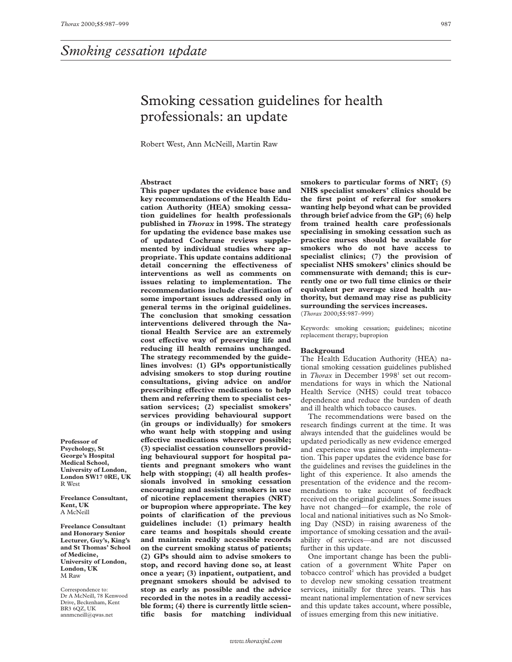# Smoking cessation guidelines for health professionals: an update

Robert West, Ann McNeill, Martin Raw

## **Abstract**

**This paper updates the evidence base and key recommendations of the Health Education Authority (HEA) smoking cessation guidelines for health professionals published in** *Thorax* **in 1998. The strategy for updating the evidence base makes use of updated Cochrane reviews supplemented by individual studies where appropriate. This update contains additional** detail concerning the effectiveness of **interventions as well as comments on issues relating to implementation. The recommendations include clarification of some important issues addressed only in general terms in the original guidelines. The conclusion that smoking cessation interventions delivered through the National Health Service are an extremely** cost effective way of preserving life and **reducing ill health remains unchanged. The strategy recommended by the guidelines involves: (1) GPs opportunistically advising smokers to stop during routine consultations, giving advice on and/or** prescribing effective medications to help **them and referring them to specialist cessation services; (2) specialist smokers' services providing behavioural support (in groups or individually) for smokers who want help with stopping and using**  $e$ *effective* medications wherever possible; **(3) specialist cessation counsellors providing behavioural support for hospital patients and pregnant smokers who want help with stopping; (4) all health professionals involved in smoking cessation encouraging and assisting smokers in use of nicotine replacement therapies (NRT) or bupropion where appropriate. The key points of clarification of the previous guidelines include: (1) primary health care teams and hospitals should create and maintain readily accessible records on the current smoking status of patients; (2) GPs should aim to advise smokers to stop, and record having done so, at least once a year; (3) inpatient, outpatient, and pregnant smokers should be advised to stop as early as possible and the advice recorded in the notes in a readily accessible form; (4) there is currently little scientific basis for matching individual**

**smokers to particular forms of NRT; (5) NHS specialist smokers' clinics should be the first point of referral for smokers wanting help beyond what can be provided through brief advice from the GP; (6) help from trained health care professionals specialising in smoking cessation such as practice nurses should be available for smokers who do not have access to specialist clinics; (7) the provision of specialist NHS smokers' clinics should be commensurate with demand; this is currently one or two full time clinics or their equivalent per average sized health authority, but demand may rise as publicity surrounding the services increases.** (*Thorax* 2000;**55**:987–999)

Keywords: smoking cessation; guidelines; nicotine

## **Background**

replacement therapy; bupropion

The Health Education Authority (HEA) national smoking cessation guidelines published in *Thorax* in December 1998<sup>1</sup> set out recommendations for ways in which the National Health Service (NHS) could treat tobacco dependence and reduce the burden of death and ill health which tobacco causes.

The recommendations were based on the research findings current at the time. It was always intended that the guidelines would be updated periodically as new evidence emerged and experience was gained with implementation. This paper updates the evidence base for the guidelines and revises the guidelines in the light of this experience. It also amends the presentation of the evidence and the recommendations to take account of feedback received on the original guidelines. Some issues have not changed—for example, the role of local and national initiatives such as No Smoking Day (NSD) in raising awareness of the importance of smoking cessation and the availability of services—and are not discussed further in this update.

One important change has been the publication of a government White Paper on tobacco control<sup>2</sup> which has provided a budget to develop new smoking cessation treatment services, initially for three years. This has meant national implementation of new services and this update takes account, where possible, of issues emerging from this new initiative.

**Professor of Psychology, St George's Hospital Medical School, University of London, London SW17 0RE, UK** R West

**Freelance Consultant, Kent, UK** A McNeill

**Freelance Consultant and Honorary Senior Lecturer, Guy's, King's and St Thomas' School of Medicine, University of London, London, UK** M Raw

Correspondence to: Dr A McNeill, 78 Kenwood Drive, Beckenham, Kent BR3 6QZ, UK annmcneill@qwas.net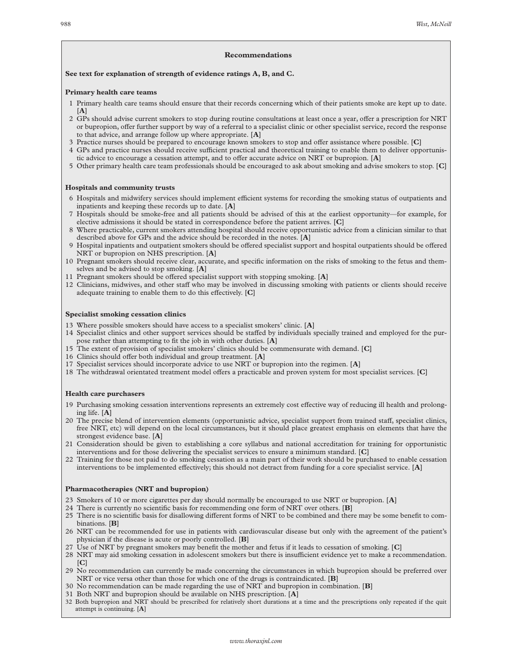# **Recommendations**

# **See text for explanation of strength of evidence ratings A, B, and C.**

## **Primary health care teams**

- 1 Primary health care teams should ensure that their records concerning which of their patients smoke are kept up to date. [**A**]
- 2 GPs should advise current smokers to stop during routine consultations at least once a year, offer a prescription for NRT or bupropion, offer further support by way of a referral to a specialist clinic or other specialist service, record the response to that advice, and arrange follow up where appropriate. [**A**]
- 3 Practice nurses should be prepared to encourage known smokers to stop and offer assistance where possible. [C]
- 4 GPs and practice nurses should receive sufficient practical and theoretical training to enable them to deliver opportunistic advice to encourage a cessation attempt, and to offer accurate advice on NRT or bupropion. [A]
- 5 Other primary health care team professionals should be encouraged to ask about smoking and advise smokers to stop. [**C**]

# **Hospitals and community trusts**

- 6 Hospitals and midwifery services should implement efficient systems for recording the smoking status of outpatients and inpatients and keeping these records up to date. [**A**]
- 7 Hospitals should be smoke-free and all patients should be advised of this at the earliest opportunity—for example, for elective admissions it should be stated in correspondence before the patient arrives. [**C**]
- 8 Where practicable, current smokers attending hospital should receive opportunistic advice from a clinician similar to that described above for GPs and the advice should be recorded in the notes. [**A**]
- 9 Hospital inpatients and outpatient smokers should be offered specialist support and hospital outpatients should be offered NRT or bupropion on NHS prescription. [**A**]
- 10 Pregnant smokers should receive clear, accurate, and specific information on the risks of smoking to the fetus and themselves and be advised to stop smoking. [**A**]
- 11 Pregnant smokers should be offered specialist support with stopping smoking. [A]
- 12 Clinicians, midwives, and other staff who may be involved in discussing smoking with patients or clients should receive adequate training to enable them to do this effectively. [C]

## **Specialist smoking cessation clinics**

- 13 Where possible smokers should have access to a specialist smokers' clinic. [**A**]
- 14 Specialist clinics and other support services should be staffed by individuals specially trained and employed for the purpose rather than attempting to fit the job in with other duties. [**A**]
- 15 The extent of provision of specialist smokers' clinics should be commensurate with demand. [**C**]
- 16 Clinics should offer both individual and group treatment. [A]
- 17 Specialist services should incorporate advice to use NRT or bupropion into the regimen. [**A**]
- 18 The withdrawal orientated treatment model offers a practicable and proven system for most specialist services. [C]

## **Health care purchasers**

- 19 Purchasing smoking cessation interventions represents an extremely cost effective way of reducing ill health and prolonging life. [**A**]
- 20 The precise blend of intervention elements (opportunistic advice, specialist support from trained staff, specialist clinics, free NRT, etc) will depend on the local circumstances, but it should place greatest emphasis on elements that have the strongest evidence base. [**A**]
- 21 Consideration should be given to establishing a core syllabus and national accreditation for training for opportunistic interventions and for those delivering the specialist services to ensure a minimum standard. [**C**]
- 22 Training for those not paid to do smoking cessation as a main part of their work should be purchased to enable cessation interventions to be implemented effectively; this should not detract from funding for a core specialist service. [A]

#### **Pharmacotherapies (NRT and bupropion)**

- 23 Smokers of 10 or more cigarettes per day should normally be encouraged to use NRT or bupropion. [**A**]
- 24 There is currently no scientific basis for recommending one form of NRT over others. [**B**]
- 25 There is no scientific basis for disallowing different forms of NRT to be combined and there may be some benefit to combinations. [**B**]
- 26 NRT can be recommended for use in patients with cardiovascular disease but only with the agreement of the patient's physician if the disease is acute or poorly controlled. [**B**]
- 27 Use of NRT by pregnant smokers may benefit the mother and fetus if it leads to cessation of smoking. [**C**]
- 28 NRT may aid smoking cessation in adolescent smokers but there is insufficient evidence yet to make a recommendation. [**C**]
- 29 No recommendation can currently be made concerning the circumstances in which bupropion should be preferred over NRT or vice versa other than those for which one of the drugs is contraindicated. [**B**]
- 30 No recommendation can be made regarding the use of NRT and bupropion in combination. [**B**]
- 31 Both NRT and bupropion should be available on NHS prescription. [**A**]
- 32 Both bupropion and NRT should be prescribed for relatively short durations at a time and the prescriptions only repeated if the quit attempt is continuing. [**A**]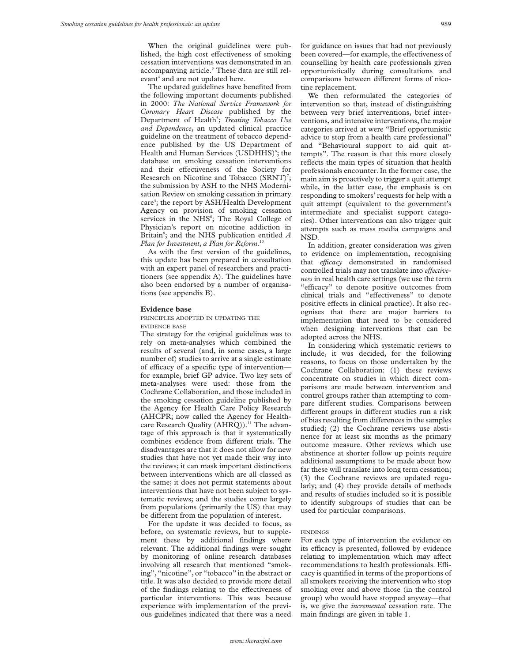When the original guidelines were published, the high cost effectiveness of smoking cessation interventions was demonstrated in an accompanying article.3 These data are still relevant<sup>4</sup> and are not updated here.

The updated guidelines have benefited from the following important documents published in 2000: *The National Service Framework for Coronary Heart Disease* published by the Department of Health<sup>5</sup>; Treating Tobacco Use *and Dependence*, an updated clinical practice guideline on the treatment of tobacco dependence published by the US Department of Health and Human Services (USDHHS)<sup>6</sup>; the database on smoking cessation interventions and their effectiveness of the Society for Research on Nicotine and Tobacco (SRNT)<sup>7</sup>; the submission by ASH to the NHS Modernisation Review on smoking cessation in primary care<sup>4</sup>; the report by ASH/Health Development Agency on provision of smoking cessation services in the NHS<sup>8</sup>; The Royal College of Physician's report on nicotine addiction in Britain<sup>9</sup>; and the NHS publication entitled A *Plan for Investment, a Plan for Reform*. 10

As with the first version of the guidelines, this update has been prepared in consultation with an expert panel of researchers and practitioners (see appendix A). The guidelines have also been endorsed by a number of organisations (see appendix B).

#### **Evidence base**

PRINCIPLES ADOPTED IN UPDATING THE EVIDENCE BASE

The strategy for the original guidelines was to rely on meta-analyses which combined the results of several (and, in some cases, a large number of) studies to arrive at a single estimate of efficacy of a specific type of interventionfor example, brief GP advice. Two key sets of meta-analyses were used: those from the Cochrane Collaboration, and those included in the smoking cessation guideline published by the Agency for Health Care Policy Research (AHCPR; now called the Agency for Healthcare Research Quality (AHRQ)).<sup>11</sup> The advantage of this approach is that it systematically combines evidence from different trials. The disadvantages are that it does not allow for new studies that have not yet made their way into the reviews; it can mask important distinctions between interventions which are all classed as the same; it does not permit statements about interventions that have not been subject to systematic reviews; and the studies come largely from populations (primarily the US) that may be different from the population of interest.

For the update it was decided to focus, as before, on systematic reviews, but to supplement these by additional findings where relevant. The additional findings were sought by monitoring of online research databases involving all research that mentioned "smoking", "nicotine", or "tobacco" in the abstract or title. It was also decided to provide more detail of the findings relating to the effectiveness of particular interventions. This was because experience with implementation of the previous guidelines indicated that there was a need

for guidance on issues that had not previously been covered—for example, the effectiveness of counselling by health care professionals given opportunistically during consultations and comparisons between different forms of nicotine replacement.

We then reformulated the categories of intervention so that, instead of distinguishing between very brief interventions, brief interventions, and intensive interventions, the major categories arrived at were "Brief opportunistic advice to stop from a health care professional" and "Behavioural support to aid quit attempts". The reason is that this more closely reflects the main types of situation that health professionals encounter. In the former case, the main aim is proactively to trigger a quit attempt while, in the latter case, the emphasis is on responding to smokers' requests for help with a quit attempt (equivalent to the government's intermediate and specialist support categories). Other interventions can also trigger quit attempts such as mass media campaigns and NSD.

In addition, greater consideration was given to evidence on implementation, recognising that *efficacy* demonstrated in randomised controlled trials may not translate into *effectiveness* in real health care settings (we use the term "efficacy" to denote positive outcomes from clinical trials and "effectiveness" to denote positive effects in clinical practice). It also recognises that there are major barriers to implementation that need to be considered when designing interventions that can be adopted across the NHS.

In considering which systematic reviews to include, it was decided, for the following reasons, to focus on those undertaken by the Cochrane Collaboration: (1) these reviews concentrate on studies in which direct comparisons are made between intervention and control groups rather than attempting to compare different studies. Comparisons between different groups in different studies run a risk of bias resulting from differences in the samples studied; (2) the Cochrane reviews use abstinence for at least six months as the primary outcome measure. Other reviews which use abstinence at shorter follow up points require additional assumptions to be made about how far these will translate into long term cessation; (3) the Cochrane reviews are updated regularly; and (4) they provide details of methods and results of studies included so it is possible to identify subgroups of studies that can be used for particular comparisons.

#### **FINDINGS**

For each type of intervention the evidence on its efficacy is presented, followed by evidence relating to implementation which may affect recommendations to health professionals. Efficacy is quantified in terms of the proportions of all smokers receiving the intervention who stop smoking over and above those (in the control group) who would have stopped anyway—that is, we give the *incremental* cessation rate. The main findings are given in table 1.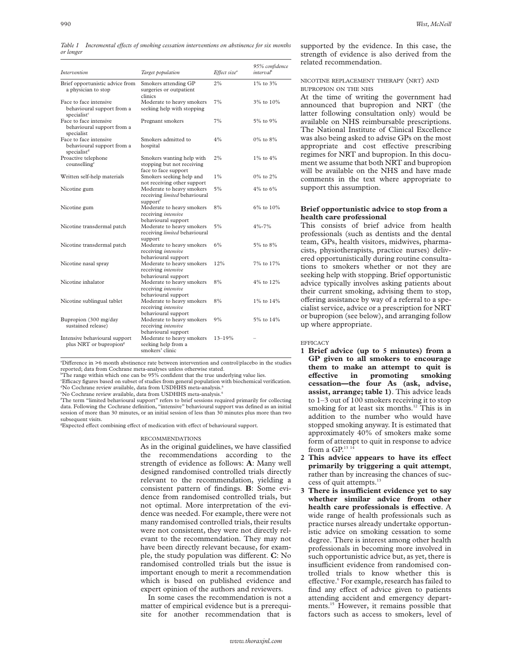*Table 1* Incremental effects of smoking cessation interventions on abstinence for six months *or longer*

| Intervention                                                                    | Target population                                                                          | Effect size <sup>a</sup> | 95% confidence<br><i>interval</i> <sup>b</sup> |
|---------------------------------------------------------------------------------|--------------------------------------------------------------------------------------------|--------------------------|------------------------------------------------|
| Brief opportunistic advice from<br>a physician to stop                          | Smokers attending GP<br>surgeries or outpatient                                            | 2%                       | 1% to 3%                                       |
| Face to face intensive<br>behavioural support from a                            | clinics<br>Moderate to heavy smokers<br>seeking help with stopping                         | 7%                       | 3% to 10%                                      |
| specialist <sup>c</sup><br>Face to face intensive<br>behavioural support from a | Pregnant smokers                                                                           | 7%                       | 5% to 9%                                       |
| specialist<br>Face to face intensive<br>behavioural support from a              | Smokers admitted to<br>hospital                                                            | 4%                       | $0\%$ to $8\%$                                 |
| specialist <sup>d</sup><br>Proactive telephone<br>counselling <sup>e</sup>      | Smokers wanting help with<br>stopping but not receiving                                    | 2%                       | $1\%$ to $4\%$                                 |
| Written self-help materials                                                     | face to face support<br>Smokers seeking help and                                           | $1\%$                    | 0% to 2%                                       |
| Nicotine gum                                                                    | not receiving other support<br>Moderate to heavy smokers<br>receiving limited behavioural  | 5%                       | $4\%$ to $6\%$                                 |
| Nicotine gum                                                                    | support<br>Moderate to heavy smokers<br>receiving <i>intensive</i>                         | 8%                       | $6\%$ to $10\%$                                |
| Nicotine transdermal patch                                                      | behavioural support<br>Moderate to heavy smokers<br>receiving limited behavioural          | 5%                       | $4\% - 7\%$                                    |
| Nicotine transdermal patch                                                      | support<br>Moderate to heavy smokers<br>receiving <i>intensive</i>                         | 6%                       | 5% to 8%                                       |
| Nicotine nasal spray                                                            | behavioural support<br>Moderate to heavy smokers<br>receiving <i>intensive</i>             | 12%                      | 7% to 17%                                      |
| Nicotine inhalator                                                              | behavioural support<br>Moderate to heavy smokers<br>receiving <i>intensive</i>             | 8%                       | 4% to 12%                                      |
| Nicotine sublingual tablet                                                      | behavioural support<br>Moderate to heavy smokers<br>receiving <i>intensive</i>             | 8%                       | $1\%$ to $14\%$                                |
| Bupropion (300 mg/day<br>sustained release)                                     | behavioural support<br>Moderate to heavy smokers<br>receiving <i>intensive</i>             | 9%                       | 5% to 14%                                      |
| Intensive behavioural support<br>plus NRT or bupropion <sup>8</sup>             | behavioural support<br>Moderate to heavy smokers<br>seeking help from a<br>smokers' clinic | $13 - 19%$               |                                                |

<sup>a</sup>Difference in >6 month abstinence rate between intervention and control/placebo in the studies reported; data from Cochrane meta-analyses unless otherwise stated.

<sup>b</sup>The range within which one can be 95% confident that the true underlying value lies.

Efficacy figures based on subset of studies from general population with biochemical verification. <sup>d</sup>No Cochrane review available, data from USDHHS meta-analysis.<sup>6</sup>

'No Cochrane review available, data from USDHHS meta-analysis.<sup>6</sup>

f The term "limited behavioural support" refers to brief sessions required primarily for collecting data. Following the Cochrane definition, "intensive" behavioural support was defined as an initial session of more than 30 minutes, or an initial session of less than 30 minutes plus more than two subsequent visits.

<sup>8</sup>Expected effect combining effect of medication with effect of behavioural support.

#### RECOMMENDATIONS

As in the original guidelines, we have classified the recommendations according to the strength of evidence as follows: **A**: Many well designed randomised controlled trials directly relevant to the recommendation, yielding a consistent pattern of findings. **B**: Some evidence from randomised controlled trials, but not optimal. More interpretation of the evidence was needed. For example, there were not many randomised controlled trials, their results were not consistent, they were not directly relevant to the recommendation. They may not have been directly relevant because, for example, the study population was different. C: No randomised controlled trials but the issue is important enough to merit a recommendation which is based on published evidence and expert opinion of the authors and reviewers.

In some cases the recommendation is not a matter of empirical evidence but is a prerequisite for another recommendation that is supported by the evidence. In this case, the strength of evidence is also derived from the related recommendation.

NICOTINE REPLACEMENT THERAPY (NRT) AND BUPROPION ON THE NHS

At the time of writing the government had announced that bupropion and NRT (the latter following consultation only) would be available on NHS reimbursable prescriptions. The National Institute of Clinical Excellence was also being asked to advise GPs on the most appropriate and cost effective prescribing regimes for NRT and bupropion. In this document we assume that both NRT and bupropion will be available on the NHS and have made comments in the text where appropriate to support this assumption.

## **Brief opportunistic advice to stop from a health care professional**

This consists of brief advice from health professionals (such as dentists and the dental team, GPs, health visitors, midwives, pharmacists, physiotherapists, practice nurses) delivered opportunistically during routine consultations to smokers whether or not they are seeking help with stopping. Brief opportunistic advice typically involves asking patients about their current smoking, advising them to stop, offering assistance by way of a referral to a specialist service, advice or a prescription for NRT or bupropion (see below), and arranging follow up where appropriate.

**EFFICACY** 

- **1 Brief advice (up to 5 minutes) from a GP given to all smokers to encourage them to make an attempt to quit is** effective in promoting smoking **cessation—the four As (ask, advise, assist, arrange; table 1)**. This advice leads to 1–3 out of 100 smokers receiving it to stop smoking for at least six months.<sup>12</sup> This is in addition to the number who would have stopped smoking anyway. It is estimated that approximately 40% of smokers make some form of attempt to quit in response to advice from a GP. $^{13}$  $^1$
- 2 This advice appears to have its effect **primarily by triggering a quit attempt**, rather than by increasing the chances of success of quit attempts.<sup>13</sup>
- **3 There is insufficient evidence yet to say whether similar advice from other health care professionals is effective**. A wide range of health professionals such as practice nurses already undertake opportunistic advice on smoking cessation to some degree. There is interest among other health professionals in becoming more involved in such opportunistic advice but, as yet, there is insufficient evidence from randomised controlled trials to know whether this is effective.<sup>6</sup> For example, research has failed to find any effect of advice given to patients attending accident and emergency departments.<sup>15</sup> However, it remains possible that factors such as access to smokers, level of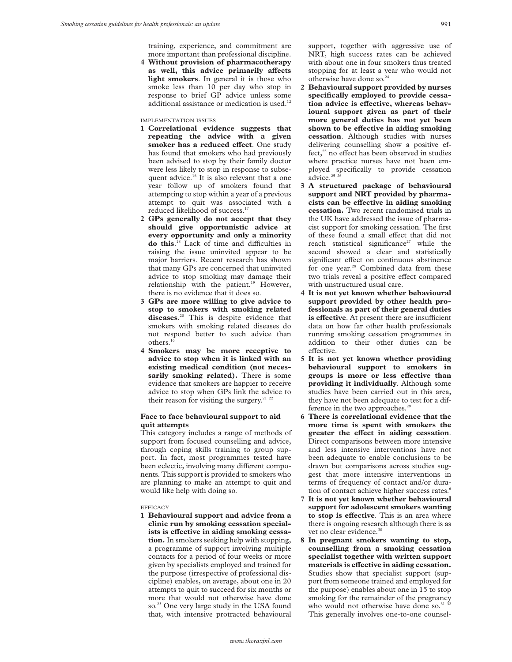training, experience, and commitment are more important than professional discipline.

**4 Without provision of pharmacotherapy** as well, this advice primarily affects **light smokers**. In general it is those who smoke less than 10 per day who stop in response to brief GP advice unless some additional assistance or medication is used. $12$ 

## IMPLEMENTATION ISSUES

- **1 Correlational evidence suggests that repeating the advice with a given smoker has a reduced effect**. One study has found that smokers who had previously been advised to stop by their family doctor were less likely to stop in response to subsequent advice.<sup>16</sup> It is also relevant that a one year follow up of smokers found that attempting to stop within a year of a previous attempt to quit was associated with a reduced likelihood of success.<sup>17</sup>
- **2 GPs generally do not accept that they should give opportunistic advice at every opportunity and only a minority** do this.<sup>18</sup> Lack of time and difficulties in raising the issue uninvited appear to be major barriers. Recent research has shown that many GPs are concerned that uninvited advice to stop smoking may damage their relationship with the patient.<sup>19</sup> However, there is no evidence that it does so.
- **3 GPs are more willing to give advice to stop to smokers with smoking related diseases**. <sup>20</sup> This is despite evidence that smokers with smoking related diseases do not respond better to such advice than others.16
- **4 Smokers may be more receptive to advice to stop when it is linked with an existing medical condition (not necessarily smoking related).** There is some evidence that smokers are happier to receive advice to stop when GPs link the advice to their reason for visiting the surgery.<sup>21</sup> <sup>22</sup>

## **Face to face behavioural support to aid quit attempts**

This category includes a range of methods of support from focused counselling and advice, through coping skills training to group support. In fact, most programmes tested have been eclectic, involving many different components. This support is provided to smokers who are planning to make an attempt to quit and would like help with doing so.

#### EFFICACY

**1 Behavioural support and advice from a clinic run by smoking cessation special**ists is effective in aiding smoking cessa**tion.** In smokers seeking help with stopping, a programme of support involving multiple contacts for a period of four weeks or more given by specialists employed and trained for the purpose (irrespective of professional discipline) enables, on average, about one in 20 attempts to quit to succeed for six months or more that would not otherwise have done so.<sup>23</sup> One very large study in the USA found that, with intensive protracted behavioural

support, together with aggressive use of NRT, high success rates can be achieved with about one in four smokers thus treated stopping for at least a year who would not otherwise have done so.<sup>24</sup>

- **2 Behavioural support provided by nurses specifically employed to provide cessa**tion advice is effective, whereas behav**ioural support given as part of their more general duties has not yet been** shown to be effective in aiding smoking **cessation**. Although studies with nurses delivering counselling show a positive effect,<sup>25</sup> no effect has been observed in studies where practice nurses have not been employed specifically to provide cessation advice.<sup>25</sup>
- **3 A structured package of behavioural support and NRT provided by pharma**cists can be effective in aiding smoking **cessation.** Two recent randomised trials in the UK have addressed the issue of pharmacist support for smoking cessation. The first of these found a small effect that did not reach statistical significance $27$  while the second showed a clear and statistically significant effect on continuous abstinence for one year.<sup>28</sup> Combined data from these two trials reveal a positive effect compared with unstructured usual care.
- **4 It is not yet known whether behavioural support provided by other health professionals as part of their general duties** is effective. At present there are insufficient data on how far other health professionals running smoking cessation programmes in addition to their other duties can be effective.
- **5 It is not yet known whether providing behavioural support to smokers in** groups is more or less effective than **providing it individually**. Although some studies have been carried out in this area, they have not been adequate to test for a difference in the two approaches.<sup>29</sup>
- **6 There is correlational evidence that the more time is spent with smokers the** greater the effect in aiding cessation. Direct comparisons between more intensive and less intensive interventions have not been adequate to enable conclusions to be drawn but comparisons across studies suggest that more intensive interventions in terms of frequency of contact and/or duration of contact achieve higher success rates.<sup>6</sup>
- **7 It is not yet known whether behavioural support for adolescent smokers wanting to stop is effective**. This is an area where there is ongoing research although there is as yet no clear evidence.<sup>30</sup>
- **8 In pregnant smokers wanting to stop, counselling from a smoking cessation specialist together with written support** materials is effective in aiding cessation. Studies show that specialist support (support from someone trained and employed for the purpose) enables about one in 15 to stop smoking for the remainder of the pregnancy who would not otherwise have done so.<sup>31 32</sup> This generally involves one-to-one counsel-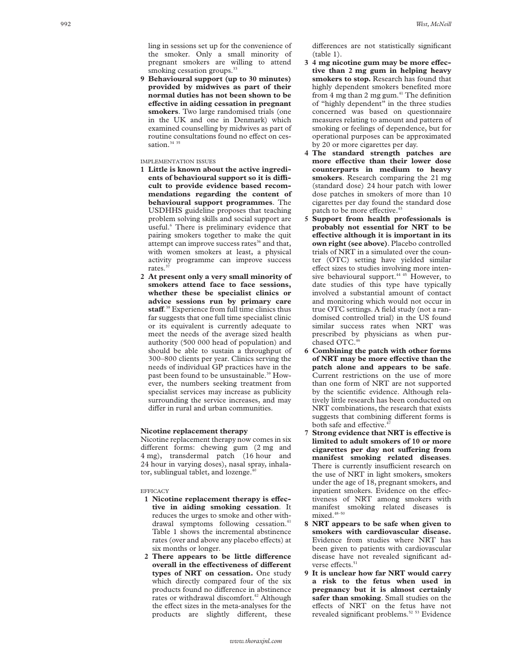ling in sessions set up for the convenience of the smoker. Only a small minority of pregnant smokers are willing to attend smoking cessation groups.<sup>33</sup>

**9 Behavioural support (up to 30 minutes) provided by midwives as part of their normal duties has not been shown to be eVective in aiding cessation in pregnant smokers**. Two large randomised trials (one in the UK and one in Denmark) which examined counselling by midwives as part of routine consultations found no effect on cessation.<sup>34</sup> 35

# IMPLEMENTATION ISSUES

- **1 Little is known about the active ingredi**ents of behavioural support so it is diffi**cult to provide evidence based recommendations regarding the content of behavioural support programmes**. The USDHHS guideline proposes that teaching problem solving skills and social support are useful.<sup>6</sup> There is preliminary evidence that pairing smokers together to make the quit attempt can improve success rates<sup>36</sup> and that, with women smokers at least, a physical activity programme can improve success rates.
- **2 At present only a very small minority of smokers attend face to face sessions, whether these be specialist clinics or advice sessions run by primary care staV**. <sup>38</sup> Experience from full time clinics thus far suggests that one full time specialist clinic or its equivalent is currently adequate to meet the needs of the average sized health authority (500 000 head of population) and should be able to sustain a throughput of 300–800 clients per year. Clinics serving the needs of individual GP practices have in the past been found to be unsustainable.<sup>39</sup> However, the numbers seeking treatment from specialist services may increase as publicity surrounding the service increases, and may differ in rural and urban communities.

#### **Nicotine replacement therapy**

Nicotine replacement therapy now comes in six different forms: chewing gum (2 mg and 4 mg), transdermal patch (16 hour and 24 hour in varying doses), nasal spray, inhalator, sublingual tablet, and lozenge.<sup>4</sup>

#### **EFFICACY**

- 1 Nicotine replacement therapy is effec**tive in aiding smoking cessation**. It reduces the urges to smoke and other withdrawal symptoms following cessation.<sup>41</sup> Table 1 shows the incremental abstinence rates (over and above any placebo effects) at six months or longer.
- 2 There appears to be little difference  $over all$  in the effectiveness of different **types of NRT on cessation.** One study which directly compared four of the six products found no difference in abstinence rates or withdrawal discomfort.<sup>42</sup> Although the effect sizes in the meta-analyses for the products are slightly different, these

differences are not statistically significant (table 1).

- **3** 4 mg nicotine gum may be more effec**tive than 2 mg gum in helping heavy smokers to stop.** Research has found that highly dependent smokers benefited more from  $4$  mg than  $2$  mg gum.<sup>41</sup> The definition of "highly dependent" in the three studies concerned was based on questionnaire measures relating to amount and pattern of smoking or feelings of dependence, but for operational purposes can be approximated by 20 or more cigarettes per day.
- **4 The standard strength patches are** more effective than their lower dose **counterparts in medium to heavy smokers**. Research comparing the 21 mg (standard dose) 24 hour patch with lower dose patches in smokers of more than 10 cigarettes per day found the standard dose patch to be more effective.<sup>43</sup>
- **5 Support from health professionals is probably not essential for NRT to be eVective although it is important in its own right (see above)**. Placebo controlled trials of NRT in a simulated over the counter (OTC) setting have yielded similar effect sizes to studies involving more intensive behavioural support.<sup>44 45</sup> However, to date studies of this type have typically involved a substantial amount of contact and monitoring which would not occur in true OTC settings. A field study (not a randomised controlled trial) in the US found similar success rates when NRT was prescribed by physicians as when purchased OTC.<sup>4</sup>
- **6 Combining the patch with other forms of NRT** may be more effective than the **patch alone and appears to be safe**. Current restrictions on the use of more than one form of NRT are not supported by the scientific evidence. Although relatively little research has been conducted on NRT combinations, the research that exists suggests that combining different forms is both safe and effective.<sup>4</sup>
- **7 Strong evidence that NRT is effective is limited to adult smokers of 10 or more** cigarettes per day not suffering from **manifest smoking related diseases**. There is currently insufficient research on the use of NRT in light smokers, smokers under the age of 18, pregnant smokers, and inpatient smokers. Evidence on the effectiveness of NRT among smokers with manifest smoking related diseases is  $\rm mixed.^{48-50}$
- **8 NRT appears to be safe when given to smokers with cardiovascular disease.** Evidence from studies where NRT has been given to patients with cardiovascular disease have not revealed significant adverse effects.<sup>5</sup>
- **9 It is unclear how far NRT would carry a risk to the fetus when used in pregnancy but it is almost certainly safer than smoking**. Small studies on the effects of NRT on the fetus have not revealed significant problems.<sup>52 53</sup> Evidence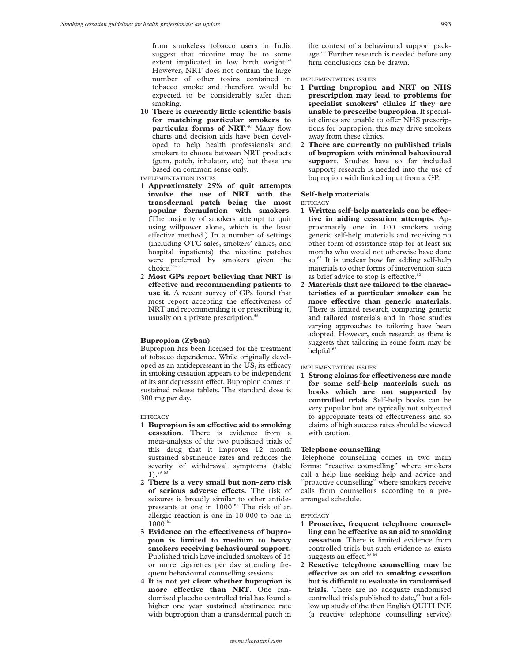from smokeless tobacco users in India suggest that nicotine may be to some extent implicated in low birth weight.<sup>54</sup> However, NRT does not contain the large number of other toxins contained in tobacco smoke and therefore would be expected to be considerably safer than smoking.

**10 There is currently little scientific basis for matching particular smokers to particular forms of NRT**. <sup>40</sup> Many flow charts and decision aids have been developed to help health professionals and smokers to choose between NRT products (gum, patch, inhalator, etc) but these are based on common sense only.

#### IMPLEMENTATION ISSUES

- **1 Approximately 25% of quit attempts involve the use of NRT with the transdermal patch being the most popular formulation with smokers**. (The majority of smokers attempt to quit using willpower alone, which is the least effective method.) In a number of settings (including OTC sales, smokers' clinics, and hospital inpatients) the nicotine patches were preferred by smokers given the choice.<sup>55-57</sup>
- **2 Most GPs report believing that NRT is eVective and recommending patients to use it**. A recent survey of GPs found that most report accepting the effectiveness of NRT and recommending it or prescribing it, usually on a private prescription.<sup>58</sup>

#### **Bupropion (Zyban)**

Bupropion has been licensed for the treatment of tobacco dependence. While originally developed as an antidepressant in the US, its efficacy in smoking cessation appears to be independent of its antidepressant effect. Bupropion comes in sustained release tablets. The standard dose is 300 mg per day.

#### EFFICACY

- **1 Bupropion is an effective aid to smoking cessation**. There is evidence from a meta-analysis of the two published trials of this drug that it improves 12 month sustained abstinence rates and reduces the severity of withdrawal symptoms (table  $1).^{59}$
- **2 There is a very small but non-zero risk of serious adverse effects**. The risk of seizures is broadly similar to other antidepressants at one in 1000.<sup>61</sup> The risk of an allergic reaction is one in 10 000 to one in 1000.61
- **3 Evidence on the effectiveness of bupropion is limited to medium to heavy smokers receiving behavioural support.** Published trials have included smokers of 15 or more cigarettes per day attending frequent behavioural counselling sessions.
- **4 It is not yet clear whether bupropion is more** effective than NRT. One randomised placebo controlled trial has found a higher one year sustained abstinence rate with bupropion than a transdermal patch in

the context of a behavioural support package.<sup>60</sup> Further research is needed before any firm conclusions can be drawn.

# IMPLEMENTATION ISSUES

- **1 Putting bupropion and NRT on NHS prescription may lead to problems for specialist smokers' clinics if they are unable to prescribe bupropion**. If specialist clinics are unable to offer NHS prescriptions for bupropion, this may drive smokers away from these clinics.
- **2 There are currently no published trials of bupropion with minimal behavioural support**. Studies have so far included support; research is needed into the use of bupropion with limited input from a GP.

# **Self-help materials**

# EFFICACY

- 1 Written self-help materials can be effec**tive in aiding cessation attempts**. Approximately one in 100 smokers using generic self-help materials and receiving no other form of assistance stop for at least six months who would not otherwise have done so.<sup>62</sup> It is unclear how far adding self-help materials to other forms of intervention such as brief advice to stop is effective.<sup>62</sup>
- **2 Materials that are tailored to the characteristics of a particular smoker can be** more effective than generic materials. There is limited research comparing generic and tailored materials and in those studies varying approaches to tailoring have been adopted. However, such research as there is suggests that tailoring in some form may be helpful.<sup>62</sup>

#### IMPLEMENTATION ISSUES

**1 Strong claims for effectiveness are made for some self-help materials such as books which are not supported by controlled trials**. Self-help books can be very popular but are typically not subjected to appropriate tests of effectiveness and so claims of high success rates should be viewed with caution.

## **Telephone counselling**

Telephone counselling comes in two main forms: "reactive counselling" where smokers call a help line seeking help and advice and "proactive counselling" where smokers receive calls from counsellors according to a prearranged schedule.

#### **EFFICACY**

- **1 Proactive, frequent telephone counsel**ling can be effective as an aid to smoking **cessation**. There is limited evidence from controlled trials but such evidence as exists suggests an effect.<sup>63 64</sup>
- **2 Reactive telephone counselling may be eVective as an aid to smoking cessation but is diYcult to evaluate in randomised trials**. There are no adequate randomised controlled trials published to date,<sup>63</sup> but a follow up study of the then English QUITLINE (a reactive telephone counselling service)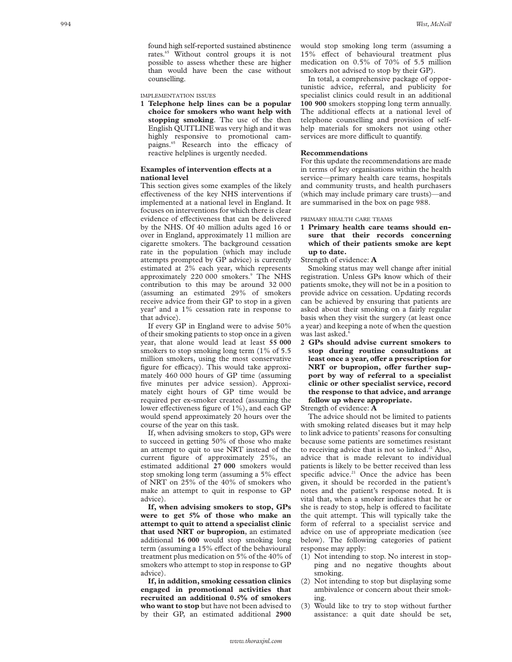found high self-reported sustained abstinence rates.65 Without control groups it is not possible to assess whether these are higher than would have been the case without counselling.

# IMPLEMENTATION ISSUES

**1 Telephone help lines can be a popular choice for smokers who want help with stopping smoking**. The use of the then English QUITLINE was very high and it was highly responsive to promotional campaigns.<sup>65</sup> Research into the efficacy of reactive helplines is urgently needed.

# **Examples of intervention effects at a national level**

This section gives some examples of the likely effectiveness of the key NHS interventions if implemented at a national level in England. It focuses on interventions for which there is clear evidence of effectiveness that can be delivered by the NHS. Of 40 million adults aged 16 or over in England, approximately 11 million are cigarette smokers. The background cessation rate in the population (which may include attempts prompted by GP advice) is currently estimated at 2% each year, which represents approximately 220 000 smokers.<sup>9</sup> The NHS contribution to this may be around 32 000 (assuming an estimated 29% of smokers receive advice from their GP to stop in a given  $year<sup>4</sup>$  and a 1% cessation rate in response to that advice).

If every GP in England were to advise 50% of their smoking patients to stop once in a given year, that alone would lead at least **55 000** smokers to stop smoking long term (1% of 5.5) million smokers, using the most conservative figure for efficacy). This would take approximately 460 000 hours of GP time (assuming five minutes per advice session). Approximately eight hours of GP time would be required per ex-smoker created (assuming the lower effectiveness figure of  $1\%$ ), and each GP would spend approximately 20 hours over the course of the year on this task.

If, when advising smokers to stop, GPs were to succeed in getting 50% of those who make an attempt to quit to use NRT instead of the current figure of approximately 25%, an estimated additional **27 000** smokers would stop smoking long term (assuming a 5% effect of NRT on 25% of the 40% of smokers who make an attempt to quit in response to GP advice).

**If, when advising smokers to stop, GPs were to get 5% of those who make an attempt to quit to attend a specialist clinic that used NRT or bupropion**, an estimated additional **16 000** would stop smoking long term (assuming a 15% effect of the behavioural treatment plus medication on 5% of the 40% of smokers who attempt to stop in response to GP advice).

**If, in addition, smoking cessation clinics engaged in promotional activities that recruited an additional 0.5% of smokers who want to stop** but have not been advised to by their GP, an estimated additional **2900**

would stop smoking long term (assuming a 15% effect of behavioural treatment plus medication on 0.5% of 70% of 5.5 million smokers not advised to stop by their GP).

In total, a comprehensive package of opportunistic advice, referral, and publicity for specialist clinics could result in an additional **100 900** smokers stopping long term annually. The additional effects at a national level of telephone counselling and provision of selfhelp materials for smokers not using other services are more difficult to quantify.

#### **Recommendations**

For this update the recommendations are made in terms of key organisations within the health service—primary health care teams, hospitals and community trusts, and health purchasers (which may include primary care trusts)—and are summarised in the box on page 988.

## PRIMARY HEALTH CARE TEAMS

**1 Primary health care teams should ensure that their records concerning which of their patients smoke are kept up to date.**

Strength of evidence: **A**

Smoking status may well change after initial registration. Unless GPs know which of their patients smoke, they will not be in a position to provide advice on cessation. Updating records can be achieved by ensuring that patients are asked about their smoking on a fairly regular basis when they visit the surgery (at least once a year) and keeping a note of when the question was last asked.<sup>6</sup>

**2 GPs should advise current smokers to stop during routine consultations at** least once a year, offer a prescription for NRT or bupropion, offer further sup**port by way of referral to a specialist clinic or other specialist service, record the response to that advice, and arrange follow up where appropriate.**

## Strength of evidence: **A**

The advice should not be limited to patients with smoking related diseases but it may help to link advice to patients' reasons for consulting because some patients are sometimes resistant to receiving advice that is not so linked. $21$  Also, advice that is made relevant to individual patients is likely to be better received than less specific advice.<sup>21</sup> Once the advice has been given, it should be recorded in the patient's notes and the patient's response noted. It is vital that, when a smoker indicates that he or she is ready to stop, help is offered to facilitate the quit attempt. This will typically take the form of referral to a specialist service and advice on use of appropriate medication (see below). The following categories of patient response may apply:

- (1) Not intending to stop. No interest in stopping and no negative thoughts about smoking.
- (2) Not intending to stop but displaying some ambivalence or concern about their smoking.
- (3) Would like to try to stop without further assistance: a quit date should be set,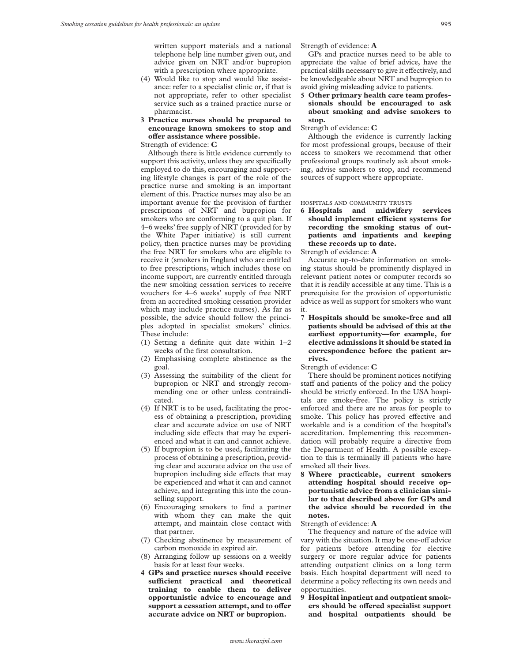written support materials and a national telephone help line number given out, and advice given on NRT and/or bupropion with a prescription where appropriate.

- (4) Would like to stop and would like assistance: refer to a specialist clinic or, if that is not appropriate, refer to other specialist service such as a trained practice nurse or pharmacist.
- **3 Practice nurses should be prepared to encourage known smokers to stop and oVer assistance where possible.**

Strength of evidence: **C**

Although there is little evidence currently to support this activity, unless they are specifically employed to do this, encouraging and supporting lifestyle changes is part of the role of the practice nurse and smoking is an important element of this. Practice nurses may also be an important avenue for the provision of further prescriptions of NRT and bupropion for smokers who are conforming to a quit plan. If 4–6 weeks' free supply of NRT (provided for by the White Paper initiative) is still current policy, then practice nurses may be providing the free NRT for smokers who are eligible to receive it (smokers in England who are entitled to free prescriptions, which includes those on income support, are currently entitled through the new smoking cessation services to receive vouchers for 4–6 weeks' supply of free NRT from an accredited smoking cessation provider which may include practice nurses). As far as possible, the advice should follow the principles adopted in specialist smokers' clinics. These include:

- (1) Setting a definite quit date within  $1-2$ weeks of the first consultation.
- (2) Emphasising complete abstinence as the goal.
- (3) Assessing the suitability of the client for bupropion or NRT and strongly recommending one or other unless contraindicated.
- (4) If NRT is to be used, facilitating the process of obtaining a prescription, providing clear and accurate advice on use of NRT including side effects that may be experienced and what it can and cannot achieve.
- (5) If bupropion is to be used, facilitating the process of obtaining a prescription, providing clear and accurate advice on the use of bupropion including side effects that may be experienced and what it can and cannot achieve, and integrating this into the counselling support.
- (6) Encouraging smokers to find a partner with whom they can make the quit attempt, and maintain close contact with that partner.
- (7) Checking abstinence by measurement of carbon monoxide in expired air.
- (8) Arranging follow up sessions on a weekly basis for at least four weeks.
- **4 GPs and practice nurses should receive suYcient practical and theoretical training to enable them to deliver opportunistic advice to encourage and** support a cessation attempt, and to offer **accurate advice on NRT or bupropion.**

Strength of evidence: **A**

GPs and practice nurses need to be able to appreciate the value of brief advice, have the practical skills necessary to give it effectively, and be knowledgeable about NRT and bupropion to avoid giving misleading advice to patients.

**5 Other primary health care team professionals should be encouraged to ask about smoking and advise smokers to stop.**

# Strength of evidence: **C**

Although the evidence is currently lacking for most professional groups, because of their access to smokers we recommend that other professional groups routinely ask about smoking, advise smokers to stop, and recommend sources of support where appropriate.

## HOSPITALS AND COMMUNITY TRUSTS

**6 Hospitals and midwifery services should implement eYcient systems for recording the smoking status of outpatients and inpatients and keeping these records up to date.**

Strength of evidence: **A**

Accurate up-to-date information on smoking status should be prominently displayed in relevant patient notes or computer records so that it is readily accessible at any time. This is a prerequisite for the provision of opportunistic advice as well as support for smokers who want it.

**7 Hospitals should be smoke-free and all patients should be advised of this at the earliest opportunity—for example, for elective admissions it should be stated in correspondence before the patient arrives.**

#### Strength of evidence: **C**

There should be prominent notices notifying staff and patients of the policy and the policy should be strictly enforced. In the USA hospitals are smoke-free. The policy is strictly enforced and there are no areas for people to smoke. This policy has proved effective and workable and is a condition of the hospital's accreditation. Implementing this recommendation will probably require a directive from the Department of Health. A possible exception to this is terminally ill patients who have smoked all their lives.

**8 Where practicable, current smokers attending hospital should receive opportunistic advice from a clinician similar to that described above for GPs and the advice should be recorded in the notes.**

## Strength of evidence: **A**

The frequency and nature of the advice will vary with the situation. It may be one-off advice for patients before attending for elective surgery or more regular advice for patients attending outpatient clinics on a long term basis. Each hospital department will need to determine a policy reflecting its own needs and opportunities.

**9 Hospital inpatient and outpatient smokers should be oVered specialist support and hospital outpatients should be**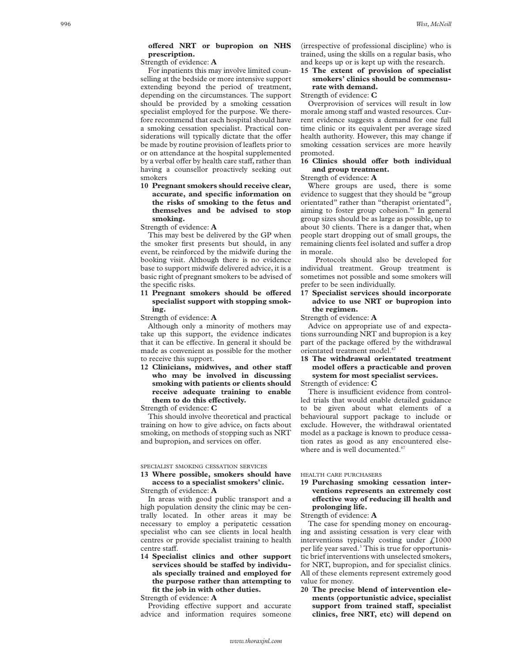# offered NRT or bupropion on NHS **prescription.**

Strength of evidence: **A**

For inpatients this may involve limited counselling at the bedside or more intensive support extending beyond the period of treatment, depending on the circumstances. The support should be provided by a smoking cessation specialist employed for the purpose. We therefore recommend that each hospital should have a smoking cessation specialist. Practical considerations will typically dictate that the offer be made by routine provision of leaflets prior to or on attendance at the hospital supplemented by a verbal offer by health care staff, rather than having a counsellor proactively seeking out smokers

**10 Pregnant smokers should receive clear, accurate, and specific information on the risks of smoking to the fetus and themselves and be advised to stop smoking.**

Strength of evidence: **A**

This may best be delivered by the GP when the smoker first presents but should, in any event, be reinforced by the midwife during the booking visit. Although there is no evidence base to support midwife delivered advice, it is a basic right of pregnant smokers to be advised of the specific risks.

11 Pregnant smokers should be offered **specialist support with stopping smoking.**

Strength of evidence: **A**

Although only a minority of mothers may take up this support, the evidence indicates that it can be effective. In general it should be made as convenient as possible for the mother to receive this support.

12 Clinicians, midwives, and other staff **who may be involved in discussing smoking with patients or clients should receive adequate training to enable** them to do this effectively.

Strength of evidence: **C**

This should involve theoretical and practical training on how to give advice, on facts about smoking, on methods of stopping such as NRT and bupropion, and services on offer.

#### SPECIALIST SMOKING CESSATION SERVICES

**13 Where possible, smokers should have access to a specialist smokers' clinic.**

Strength of evidence: **A**

In areas with good public transport and a high population density the clinic may be centrally located. In other areas it may be necessary to employ a peripatetic cessation specialist who can see clients in local health centres or provide specialist training to health centre staff.

**14 Specialist clinics and other support** services should be staffed by individu**als specially trained and employed for the purpose rather than attempting to fit the job in with other duties.**

Strength of evidence: **A**

Providing effective support and accurate advice and information requires someone (irrespective of professional discipline) who is trained, using the skills on a regular basis, who and keeps up or is kept up with the research.

## **15 The extent of provision of specialist smokers' clinics should be commensurate with demand.**

Strength of evidence: **C**

Overprovision of services will result in low morale among staff and wasted resources. Current evidence suggests a demand for one full time clinic or its equivalent per average sized health authority. However, this may change if smoking cessation services are more heavily promoted.

# 16 Clinics should offer both individual **and group treatment.**

Strength of evidence: **A**

Where groups are used, there is some evidence to suggest that they should be "group orientated" rather than "therapist orientated" aiming to foster group cohesion.<sup>66</sup> In general group sizes should be as large as possible, up to about 30 clients. There is a danger that, when people start dropping out of small groups, the remaining clients feel isolated and suffer a drop in morale.

Protocols should also be developed for individual treatment. Group treatment is sometimes not possible and some smokers will prefer to be seen individually.

**17 Specialist services should incorporate advice to use NRT or bupropion into the regimen.**

Strength of evidence: **A**

Advice on appropriate use of and expectations surrounding NRT and bupropion is a key part of the package offered by the withdrawal orientated treatment model.<sup>6</sup>

**18 The withdrawal orientated treatment model oVers a practicable and proven system for most specialist services.**

Strength of evidence: **C**

There is insufficient evidence from controlled trials that would enable detailed guidance to be given about what elements of a behavioural support package to include or exclude. However, the withdrawal orientated model as a package is known to produce cessation rates as good as any encountered elsewhere and is well documented.<sup>67</sup>

HEALTH CARE PURCHASERS

**19 Purchasing smoking cessation interventions represents an extremely cost eVective way of reducing ill health and prolonging life.**

Strength of evidence: **A**

The case for spending money on encouraging and assisting cessation is very clear with interventions typically costing under  $\text{\textsterling}1000$ per life year saved.<sup>3</sup> This is true for opportunistic brief interventions with unselected smokers, for NRT, bupropion, and for specialist clinics. All of these elements represent extremely good value for money.

**20 The precise blend of intervention elements (opportunistic advice, specialist support from trained staV, specialist clinics, free NRT, etc) will depend on**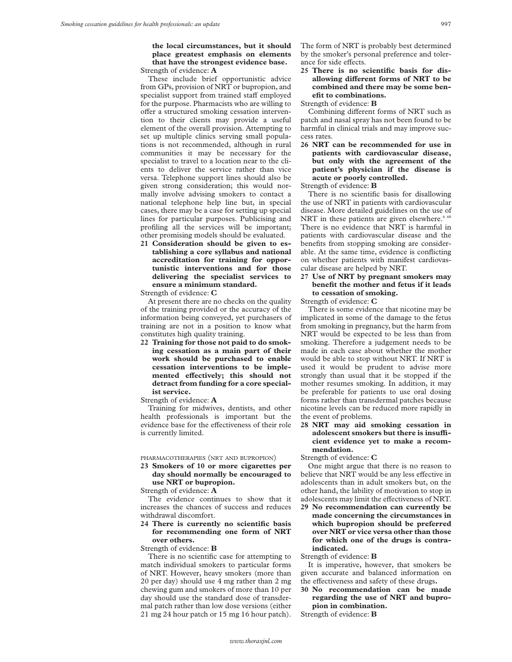**the local circumstances, but it should place greatest emphasis on elements that have the strongest evidence base.**

Strength of evidence: **A**

These include brief opportunistic advice from GPs, provision of NRT or bupropion, and specialist support from trained staff employed for the purpose. Pharmacists who are willing to offer a structured smoking cessation intervention to their clients may provide a useful element of the overall provision. Attempting to set up multiple clinics serving small populations is not recommended, although in rural communities it may be necessary for the specialist to travel to a location near to the clients to deliver the service rather than vice versa. Telephone support lines should also be given strong consideration; this would normally involve advising smokers to contact a national telephone help line but, in special cases, there may be a case for setting up special lines for particular purposes. Publicising and profiling all the services will be important; other promising models should be evaluated.

**21 Consideration should be given to establishing a core syllabus and national accreditation for training for opportunistic interventions and for those delivering the specialist services to ensure a minimum standard.**

Strength of evidence: **C**

At present there are no checks on the quality of the training provided or the accuracy of the information being conveyed, yet purchasers of training are not in a position to know what constitutes high quality training.

**22 Training for those not paid to do smoking cessation as a main part of their work should be purchased to enable cessation interventions to be imple**mented effectively; this should not **detract from funding for a core specialist service.**

Strength of evidence: **A**

Training for midwives, dentists, and other health professionals is important but the evidence base for the effectiveness of their role is currently limited.

#### PHARMACOTHERAPIES (NRT AND BUPROPION)

# **23 Smokers of 10 or more cigarettes per day should normally be encouraged to use NRT or bupropion.**

Strength of evidence: **A**

The evidence continues to show that it increases the chances of success and reduces withdrawal discomfort.

# **24 There is currently no scientific basis for recommending one form of NRT over others.**

Strength of evidence: **B**

There is no scientific case for attempting to match individual smokers to particular forms of NRT. However, heavy smokers (more than 20 per day) should use 4 mg rather than 2 mg chewing gum and smokers of more than 10 per day should use the standard dose of transdermal patch rather than low dose versions (either 21 mg 24 hour patch or 15 mg 16 hour patch).

The form of NRT is probably best determined by the smoker's personal preference and tolerance for side effects.

**25 There is no scientific basis for disallowing diVerent forms of NRT to be combined and there may be some benefit to combinations.**

Strength of evidence: **B**

Combining different forms of NRT such as patch and nasal spray has not been found to be harmful in clinical trials and may improve success rates.

**26 NRT can be recommended for use in patients with cardiovascular disease, but only with the agreement of the patient's physician if the disease is acute or poorly controlled.**

Strength of evidence: **B**

There is no scientific basis for disallowing the use of NRT in patients with cardiovascular disease. More detailed guidelines on the use of NRT in these patients are given elsewhere. $668$ There is no evidence that NRT is harmful in patients with cardiovascular disease and the benefits from stopping smoking are considerable. At the same time, evidence is conflicting on whether patients with manifest cardiovascular disease are helped by NRT.

**27 Use of NRT by pregnant smokers may benefit the mother and fetus if it leads to cessation of smoking.**

Strength of evidence: **C**

There is some evidence that nicotine may be implicated in some of the damage to the fetus from smoking in pregnancy, but the harm from NRT would be expected to be less than from smoking. Therefore a judgement needs to be made in each case about whether the mother would be able to stop without NRT. If NRT is used it would be prudent to advise more strongly than usual that it be stopped if the mother resumes smoking. In addition, it may be preferable for patients to use oral dosing forms rather than transdermal patches because nicotine levels can be reduced more rapidly in the event of problems.

# **28 NRT may aid smoking cessation in** adolescent smokers but there is insuffi**cient evidence yet to make a recommendation.**

Strength of evidence: **C**

One might argue that there is no reason to believe that NRT would be any less effective in adolescents than in adult smokers but, on the other hand, the lability of motivation to stop in adolescents may limit the effectiveness of NRT.

**29 No recommendation can currently be made concerning the circumstances in which bupropion should be preferred over NRT or vice versa other than those for which one of the drugs is contraindicated.**

Strength of evidence: **B**

It is imperative, however, that smokers be given accurate and balanced information on the effectiveness and safety of these drugs.

**30 No recommendation can be made regarding the use of NRT and bupropion in combination.**

Strength of evidence: **B**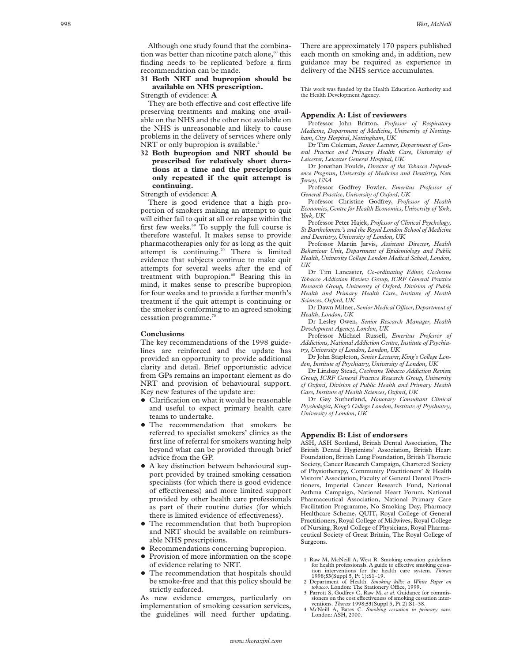Although one study found that the combination was better than nicotine patch alone, $60$  this finding needs to be replicated before a firm recommendation can be made.

# **31 Both NRT and bupropion should be available on NHS prescription.**

Strength of evidence: **A**

They are both effective and cost effective life preserving treatments and making one available on the NHS and the other not available on the NHS is unreasonable and likely to cause problems in the delivery of services where only NRT or only bupropion is available.<sup>4</sup>

**32 Both bupropion and NRT should be prescribed for relatively short durations at a time and the prescriptions only repeated if the quit attempt is continuing.**

Strength of evidence: **A**

There is good evidence that a high proportion of smokers making an attempt to quit will either fail to quit at all or relapse within the first few weeks.<sup>69</sup> To supply the full course is therefore wasteful. It makes sense to provide pharmacotherapies only for as long as the quit attempt is continuing.<sup>70</sup> There is limited evidence that subjects continue to make quit attempts for several weeks after the end of treatment with bupropion.<sup>60</sup> Bearing this in mind, it makes sense to prescribe bupropion for four weeks and to provide a further month's treatment if the quit attempt is continuing or the smoker is conforming to an agreed smoking cessation programme.<sup>70</sup>

#### **Conclusions**

The key recommendations of the 1998 guidelines are reinforced and the update has provided an opportunity to provide additional clarity and detail. Brief opportunistic advice from GPs remains an important element as do NRT and provision of behavioural support. Key new features of the update are:

- Clarification on what it would be reasonable and useful to expect primary health care teams to undertake.
- The recommendation that smokers be referred to specialist smokers' clinics as the first line of referral for smokers wanting help beyond what can be provided through brief advice from the GP.
- A key distinction between behavioural support provided by trained smoking cessation specialists (for which there is good evidence of effectiveness) and more limited support provided by other health care professionals as part of their routine duties (for which there is limited evidence of effectiveness).
- The recommendation that both bupropion and NRT should be available on reimbursable NHS prescriptions.
	- Recommendations concerning bupropion.
- Provision of more information on the scope of evidence relating to NRT.
- The recommendation that hospitals should be smoke-free and that this policy should be strictly enforced.

As new evidence emerges, particularly on implementation of smoking cessation services, the guidelines will need further updating. There are approximately 170 papers published each month on smoking and, in addition, new guidance may be required as experience in delivery of the NHS service accumulates.

This work was funded by the Health Education Authority and the Health Development Agency.

#### **Appendix A: List of reviewers**

Professor John Britton, *Professor of Respiratory Medicine, Department of Medicine, University of Nottingham, City Hospital, Nottingham, UK*

Dr Tim Coleman, *Senior Lecturer, Department of General Practice and Primary Health Care, University of Leicester, Leicester General Hospital, UK*

Dr Jonathan Foulds, *Director of the Tobacco Dependence Program, University of Medicine and Dentistry, New Jersey, USA*

Professor Godfrey Fowler, *Emeritus Professor of General Practice, University of Oxford, UK*

Professor Christine Godfrey, *Professor of Health Economics, Centre for Health Economics, University of York, York, UK*

Professor Peter Hajek, *Professor of Clinical Psychology, St Bartholomew's and the Royal London School of Medicine and Dentistry, University of London, UK*

Professor Martin Jarvis, *Assistant Director, Health Behaviour Unit, Department of Epidemiology and Public Health,University College London Medical School,London, UK*

Dr Tim Lancaster, *Co-ordinating Editor, Cochrane Tobacco Addiction Review Group, ICRF General Practice Research Group, University of Oxford, Division of Public Health and Primary Health Care, Institute of Health Sciences, Oxford, UK*

Dr Dawn Milner, *Senior Medical OYcer,Department of Health, London, UK*

Dr Lesley Owen, *Senior Research Manager, Health Development Agency, London, UK*

Professor Michael Russell, *Emeritus Professor of Addictions, National Addiction Centre, Institute of Psychiatry, University of London, London, UK*

Dr John Stapleton, *Senior Lecturer, King's College London, Institute of Psychiatry, University of London, UK*

Dr Lindsay Stead, *Cochrane Tobacco Addiction Review Group, ICRF General Practice Research Group, University of Oxford, Division of Public Health and Primary Health Care, Institute of Health Sciences, Oxford, UK*

Dr Gay Sutherland, *Honorary Consultant Clinical Psychologist, King's College London, Institute of Psychiatry, University of London, UK*

#### **Appendix B: List of endorsers**

ASH, ASH Scotland, British Dental Association, The British Dental Hygienists' Association, British Heart Foundation, British Lung Foundation, British Thoracic Society, Cancer Research Campaign, Chartered Society of Physiotherapy, Community Practitioners' & Health Visitors' Association, Faculty of General Dental Practitioners, Imperial Cancer Research Fund, National Asthma Campaign, National Heart Forum, National Pharmaceutical Association, National Primary Care Facilitation Programme, No Smoking Day, Pharmacy Healthcare Scheme, QUIT, Royal College of General Practitioners, Royal College of Midwives, Royal College of Nursing, Royal College of Physicians, Royal Pharmaceutical Society of Great Britain, The Royal College of Surgeons.

- 1 Raw M, McNeill A, West R. Smoking cessation guidelines for health professionals. A guide to effective smoking cessa-<br>tion interventions for the health care system. *Thorax* 1998;**53**(Suppl 5, Pt 1):S1–19.
- 2 Department of Health. *Smoking kills: a White Paper on tobacco*. London: The Stationery Office, 1999.
- 3 Parrott S, Godfrey C, Raw M, *et al*. Guidance for commissioners on the cost effectiveness of smoking cessation inter-
- ventions. *Thorax* 1998;**53**(Suppl 5, Pt 2):S1–38. 4 McNeill A, Bates C. *Smoking cessation in primary care* . London: ASH, 2000.